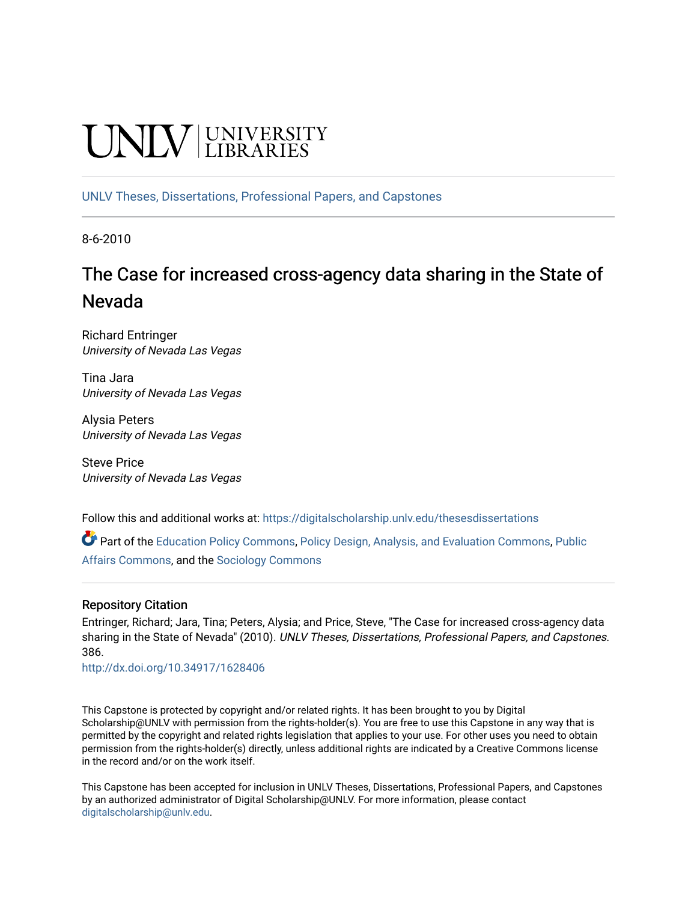# **CINITY** UNIVERSITY

[UNLV Theses, Dissertations, Professional Papers, and Capstones](https://digitalscholarship.unlv.edu/thesesdissertations)

8-6-2010

## The Case for increased cross-agency data sharing in the State of Nevada

Richard Entringer University of Nevada Las Vegas

Tina Jara University of Nevada Las Vegas

Alysia Peters University of Nevada Las Vegas

Steve Price University of Nevada Las Vegas

Follow this and additional works at: [https://digitalscholarship.unlv.edu/thesesdissertations](https://digitalscholarship.unlv.edu/thesesdissertations?utm_source=digitalscholarship.unlv.edu%2Fthesesdissertations%2F386&utm_medium=PDF&utm_campaign=PDFCoverPages)

Part of the [Education Policy Commons](http://network.bepress.com/hgg/discipline/1026?utm_source=digitalscholarship.unlv.edu%2Fthesesdissertations%2F386&utm_medium=PDF&utm_campaign=PDFCoverPages), [Policy Design, Analysis, and Evaluation Commons,](http://network.bepress.com/hgg/discipline/1032?utm_source=digitalscholarship.unlv.edu%2Fthesesdissertations%2F386&utm_medium=PDF&utm_campaign=PDFCoverPages) Public [Affairs Commons](http://network.bepress.com/hgg/discipline/399?utm_source=digitalscholarship.unlv.edu%2Fthesesdissertations%2F386&utm_medium=PDF&utm_campaign=PDFCoverPages), and the [Sociology Commons](http://network.bepress.com/hgg/discipline/416?utm_source=digitalscholarship.unlv.edu%2Fthesesdissertations%2F386&utm_medium=PDF&utm_campaign=PDFCoverPages) 

#### Repository Citation

Entringer, Richard; Jara, Tina; Peters, Alysia; and Price, Steve, "The Case for increased cross-agency data sharing in the State of Nevada" (2010). UNLV Theses, Dissertations, Professional Papers, and Capstones. 386.

<http://dx.doi.org/10.34917/1628406>

This Capstone is protected by copyright and/or related rights. It has been brought to you by Digital Scholarship@UNLV with permission from the rights-holder(s). You are free to use this Capstone in any way that is permitted by the copyright and related rights legislation that applies to your use. For other uses you need to obtain permission from the rights-holder(s) directly, unless additional rights are indicated by a Creative Commons license in the record and/or on the work itself.

This Capstone has been accepted for inclusion in UNLV Theses, Dissertations, Professional Papers, and Capstones by an authorized administrator of Digital Scholarship@UNLV. For more information, please contact [digitalscholarship@unlv.edu](mailto:digitalscholarship@unlv.edu).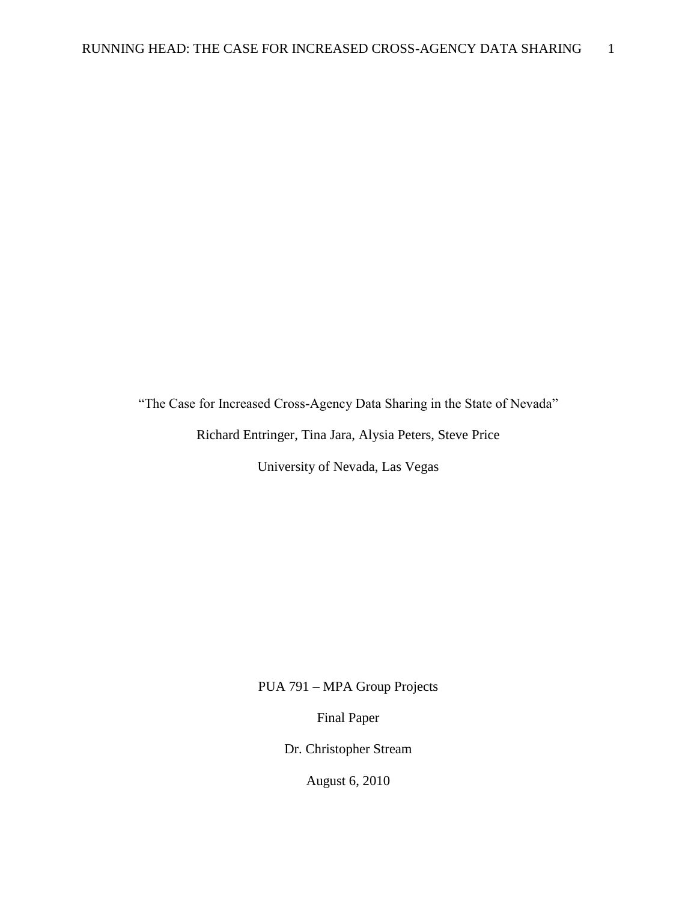"The Case for Increased Cross-Agency Data Sharing in the State of Nevada"

Richard Entringer, Tina Jara, Alysia Peters, Steve Price

University of Nevada, Las Vegas

PUA 791 – MPA Group Projects

Final Paper

Dr. Christopher Stream

August 6, 2010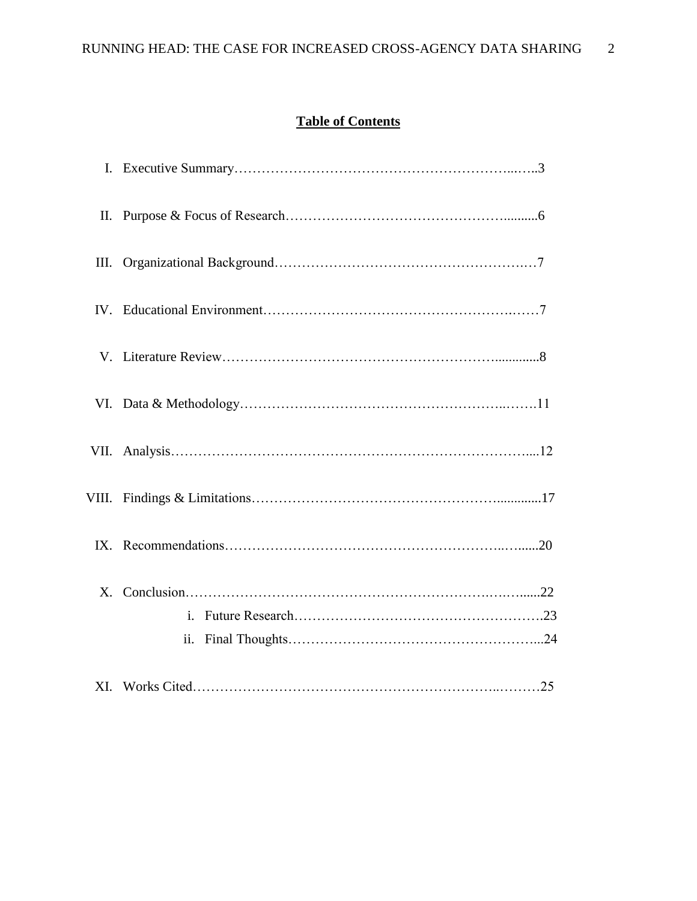### **Table of Contents**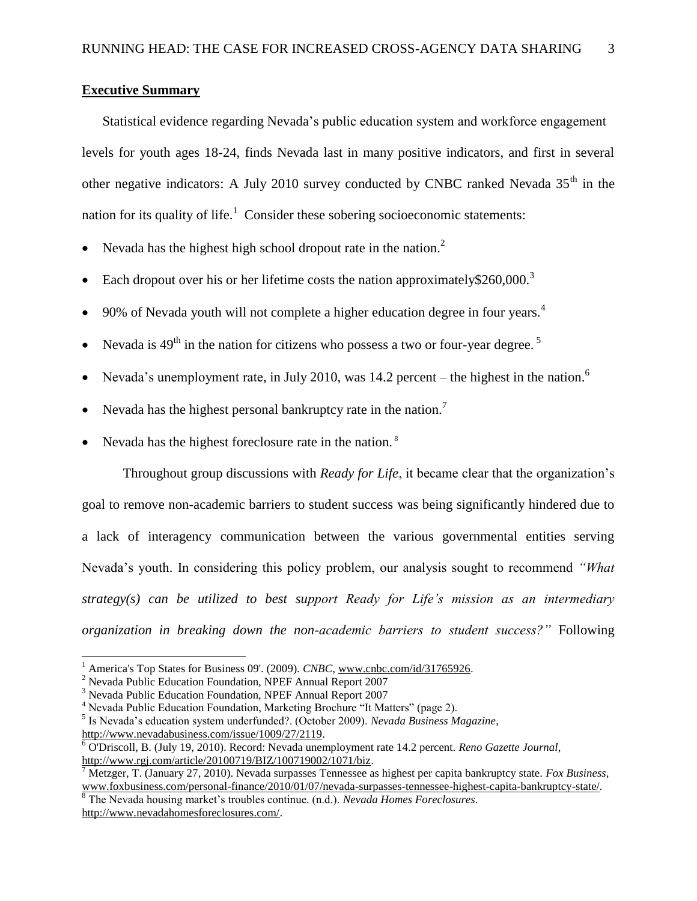#### **Executive Summary**

Statistical evidence regarding Nevada"s public education system and workforce engagement levels for youth ages 18-24, finds Nevada last in many positive indicators, and first in several other negative indicators: A July 2010 survey conducted by CNBC ranked Nevada 35<sup>th</sup> in the nation for its quality of life.<sup>1</sup> Consider these sobering socioeconomic statements:

- Nevada has the highest high school dropout rate in the nation.<sup>2</sup>
- Each dropout over his or her lifetime costs the nation approximately \$260,000.<sup>3</sup>
- 90% of Nevada youth will not complete a higher education degree in four years.<sup>4</sup>
- Nevada is  $49<sup>th</sup>$  in the nation for citizens who possess a two or four-year degree.<sup>5</sup>
- Nevada's unemployment rate, in July 2010, was 14.2 percent the highest in the nation.<sup>6</sup>
- Nevada has the highest personal bankruptcy rate in the nation.<sup>7</sup>
- Nevada has the highest foreclosure rate in the nation. <sup>8</sup>

Throughout group discussions with *Ready for Life*, it became clear that the organization"s goal to remove non-academic barriers to student success was being significantly hindered due to a lack of interagency communication between the various governmental entities serving Nevada"s youth. In considering this policy problem, our analysis sought to recommend *"What strategy(s) can be utilized to best support Ready for Life's mission as an intermediary organization in breaking down the non-academic barriers to student success?"* Following

 $\overline{a}$ 

<sup>8</sup> The Nevada housing market"s troubles continue. (n.d.). *Nevada Homes Foreclosures*. [http://www.nevadahomesforeclosures.com/.](http://www.nevadahomesforeclosures.com/)

<sup>&</sup>lt;sup>1</sup> America's Top States for Business 09'. (2009). *CNBC*, [www.cnbc.com/id/31765926.](http://www.cnbc.com/id/31765926)

<sup>2</sup> Nevada Public Education Foundation, NPEF Annual Report 2007

<sup>3</sup> Nevada Public Education Foundation, NPEF Annual Report 2007

<sup>&</sup>lt;sup>4</sup> Nevada Public Education Foundation, Marketing Brochure "It Matters" (page 2).

<sup>5</sup> Is Nevada"s education system underfunded?. (October 2009). *Nevada Business Magazine*, [http://www.nevadabusiness.com/issue/1009/27/2119.](http://www.nevadabusiness.com/issue/1009/27/2119)

<sup>6</sup> O'Driscoll, B. (July 19, 2010). Record: Nevada unemployment rate 14.2 percent. *Reno Gazette Journal*, [http://www.rgj.com/article/20100719/BIZ/100719002/1071/biz.](http://www.rgj.com/article/20100719/BIZ/100719002/1071/biz)

<sup>7</sup> Metzger, T. (January 27, 2010). Nevada surpasses Tennessee as highest per capita bankruptcy state. *Fox Business*, [www.foxbusiness.com/personal-finance/2010/01/07/nevada-surpasses-tennessee-highest-capita-bankruptcy-state/.](http://www.foxbusiness.com/personal-finance/2010/01/07/nevada-surpasses-tennessee-highest-capita-bankruptcy-state/)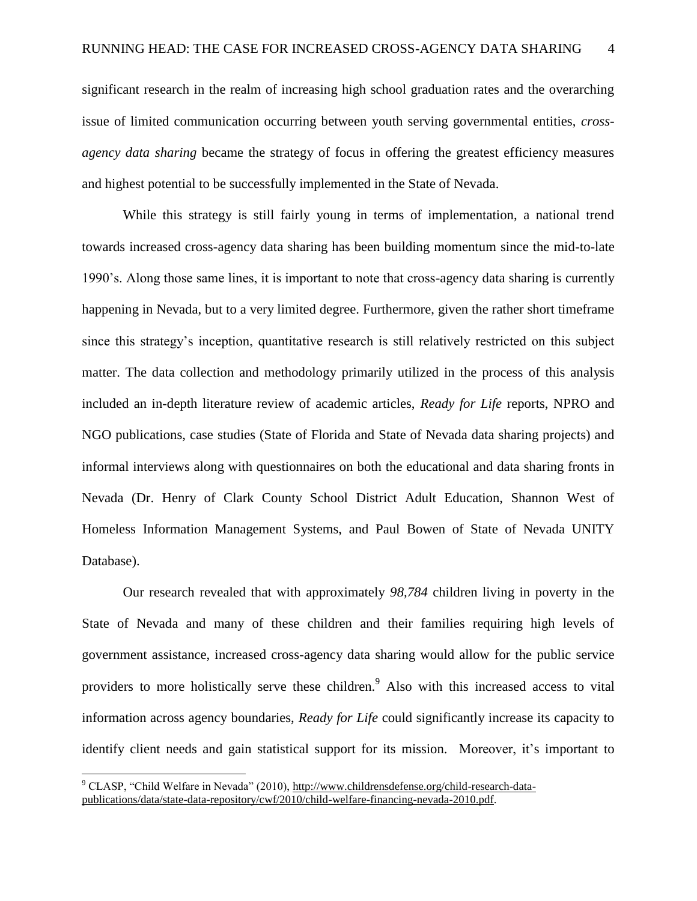significant research in the realm of increasing high school graduation rates and the overarching issue of limited communication occurring between youth serving governmental entities, *crossagency data sharing* became the strategy of focus in offering the greatest efficiency measures and highest potential to be successfully implemented in the State of Nevada.

While this strategy is still fairly young in terms of implementation, a national trend towards increased cross-agency data sharing has been building momentum since the mid-to-late 1990"s. Along those same lines, it is important to note that cross-agency data sharing is currently happening in Nevada, but to a very limited degree. Furthermore, given the rather short timeframe since this strategy"s inception, quantitative research is still relatively restricted on this subject matter. The data collection and methodology primarily utilized in the process of this analysis included an in-depth literature review of academic articles, *Ready for Life* reports, NPRO and NGO publications, case studies (State of Florida and State of Nevada data sharing projects) and informal interviews along with questionnaires on both the educational and data sharing fronts in Nevada (Dr. Henry of Clark County School District Adult Education, Shannon West of Homeless Information Management Systems, and Paul Bowen of State of Nevada UNITY Database).

Our research revealed that with approximately *98,784* children living in poverty in the State of Nevada and many of these children and their families requiring high levels of government assistance, increased cross-agency data sharing would allow for the public service providers to more holistically serve these children.<sup>9</sup> Also with this increased access to vital information across agency boundaries, *Ready for Life* could significantly increase its capacity to identify client needs and gain statistical support for its mission. Moreover, it's important to

 $\overline{a}$ 

<sup>9</sup> CLASP, "Child Welfare in Nevada" (2010), [http://www.childrensdefense.org/child-research-data](http://www.childrensdefense.org/child-research-data-publications/data/state-data-repository/cwf/2010/child-welfare-financing-nevada-2010.pdf)[publications/data/state-data-repository/cwf/2010/child-welfare-financing-nevada-2010.pdf.](http://www.childrensdefense.org/child-research-data-publications/data/state-data-repository/cwf/2010/child-welfare-financing-nevada-2010.pdf)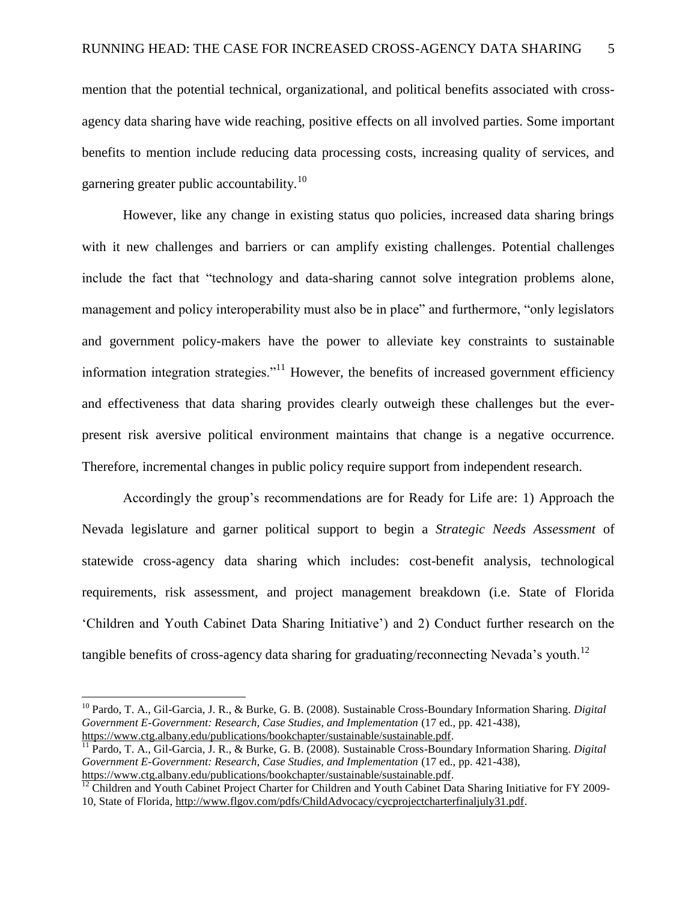mention that the potential technical, organizational, and political benefits associated with crossagency data sharing have wide reaching, positive effects on all involved parties. Some important benefits to mention include reducing data processing costs, increasing quality of services, and garnering greater public accountability.<sup>10</sup>

However, like any change in existing status quo policies, increased data sharing brings with it new challenges and barriers or can amplify existing challenges. Potential challenges include the fact that "technology and data-sharing cannot solve integration problems alone, management and policy interoperability must also be in place" and furthermore, "only legislators and government policy-makers have the power to alleviate key constraints to sustainable information integration strategies. $11$ <sup>1</sup> However, the benefits of increased government efficiency and effectiveness that data sharing provides clearly outweigh these challenges but the everpresent risk aversive political environment maintains that change is a negative occurrence. Therefore, incremental changes in public policy require support from independent research.

Accordingly the group"s recommendations are for Ready for Life are: 1) Approach the Nevada legislature and garner political support to begin a *Strategic Needs Assessment* of statewide cross-agency data sharing which includes: cost-benefit analysis, technological requirements, risk assessment, and project management breakdown (i.e. State of Florida "Children and Youth Cabinet Data Sharing Initiative") and 2) Conduct further research on the tangible benefits of cross-agency data sharing for graduating/reconnecting Nevada's youth.<sup>12</sup>

 $\overline{a}$ 

<sup>10</sup> Pardo, T. A., Gil-Garcia, J. R., & Burke, G. B. (2008). Sustainable Cross-Boundary Information Sharing. *Digital Government E-Government: Research, Case Studies, and Implementation* (17 ed., pp. 421-438), [https://www.ctg.albany.edu/publications/bookchapter/sustainable/sustainable.pdf.](https://www.ctg.albany.edu/publications/bookchapter/sustainable/sustainable.pdf)

<sup>11</sup> Pardo, T. A., Gil-Garcia, J. R., & Burke, G. B. (2008). Sustainable Cross-Boundary Information Sharing. *Digital Government E-Government: Research, Case Studies, and Implementation* (17 ed., pp. 421-438), [https://www.ctg.albany.edu/publications/bookchapter/sustainable/sustainable.pdf.](https://www.ctg.albany.edu/publications/bookchapter/sustainable/sustainable.pdf)

<sup>&</sup>lt;sup>12</sup> Children and Youth Cabinet Project Charter for Children and Youth Cabinet Data Sharing Initiative for FY 2009-10, State of Florida, [http://www.flgov.com/pdfs/ChildAdvocacy/cycprojectcharterfinaljuly31.pdf.](http://www.flgov.com/pdfs/ChildAdvocacy/cycprojectcharterfinaljuly31.pdf)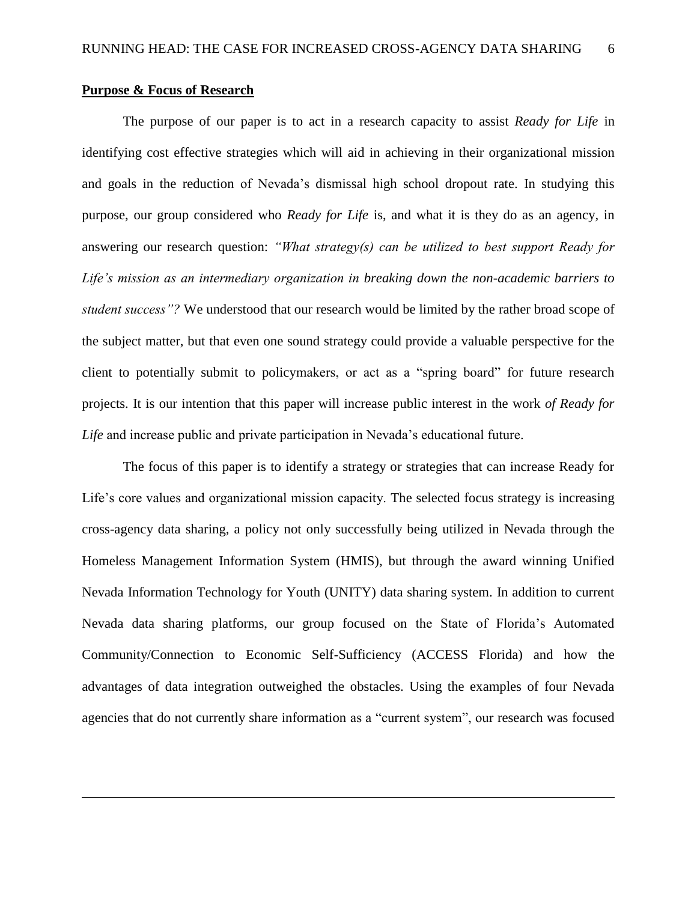#### **Purpose & Focus of Research**

 $\overline{a}$ 

The purpose of our paper is to act in a research capacity to assist *Ready for Life* in identifying cost effective strategies which will aid in achieving in their organizational mission and goals in the reduction of Nevada"s dismissal high school dropout rate. In studying this purpose, our group considered who *Ready for Life* is, and what it is they do as an agency, in answering our research question: *"What strategy(s) can be utilized to best support Ready for Life's mission as an intermediary organization in breaking down the non-academic barriers to student success"?* We understood that our research would be limited by the rather broad scope of the subject matter, but that even one sound strategy could provide a valuable perspective for the client to potentially submit to policymakers, or act as a "spring board" for future research projects. It is our intention that this paper will increase public interest in the work *of Ready for Life* and increase public and private participation in Nevada"s educational future.

The focus of this paper is to identify a strategy or strategies that can increase Ready for Life's core values and organizational mission capacity. The selected focus strategy is increasing cross-agency data sharing, a policy not only successfully being utilized in Nevada through the Homeless Management Information System (HMIS), but through the award winning Unified Nevada Information Technology for Youth (UNITY) data sharing system. In addition to current Nevada data sharing platforms, our group focused on the State of Florida"s Automated Community/Connection to Economic Self-Sufficiency (ACCESS Florida) and how the advantages of data integration outweighed the obstacles. Using the examples of four Nevada agencies that do not currently share information as a "current system", our research was focused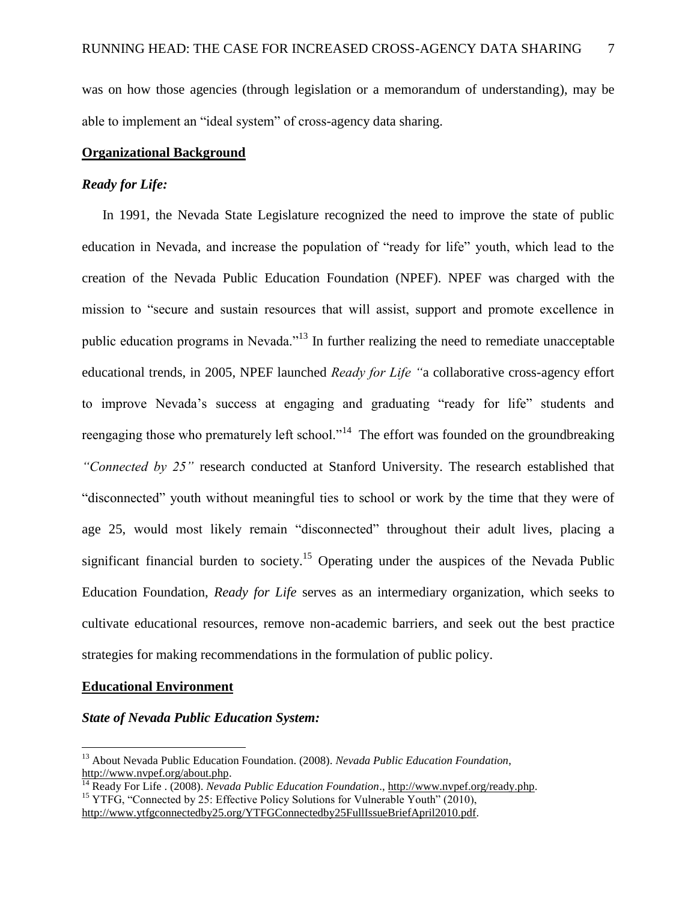was on how those agencies (through legislation or a memorandum of understanding), may be able to implement an "ideal system" of cross-agency data sharing.

#### **Organizational Background**

#### *Ready for Life:*

In 1991, the Nevada State Legislature recognized the need to improve the state of public education in Nevada, and increase the population of "ready for life" youth, which lead to the creation of the Nevada Public Education Foundation (NPEF). NPEF was charged with the mission to "secure and sustain resources that will assist, support and promote excellence in public education programs in Nevada."<sup>13</sup> In further realizing the need to remediate unacceptable educational trends, in 2005, NPEF launched *Ready for Life "*a collaborative cross-agency effort to improve Nevada"s success at engaging and graduating "ready for life" students and reengaging those who prematurely left school."<sup>14</sup> The effort was founded on the groundbreaking *"Connected by 25"* research conducted at Stanford University. The research established that "disconnected" youth without meaningful ties to school or work by the time that they were of age 25, would most likely remain "disconnected" throughout their adult lives, placing a significant financial burden to society.<sup>15</sup> Operating under the auspices of the Nevada Public Education Foundation, *Ready for Life* serves as an intermediary organization, which seeks to cultivate educational resources, remove non-academic barriers, and seek out the best practice strategies for making recommendations in the formulation of public policy.

#### **Educational Environment**

 $\overline{a}$ 

#### *State of Nevada Public Education System:*

<sup>13</sup> About Nevada Public Education Foundation. (2008). *Nevada Public Education Foundation*, [http://www.nvpef.org/about.php.](http://www.nvpef.org/about.php)

<sup>14</sup> Ready For Life . (2008). *Nevada Public Education Foundation*.[, http://www.nvpef.org/ready.php.](http://www.nvpef.org/ready.php) <sup>15</sup> YTFG, "Connected by 25: Effective Policy Solutions for Vulnerable Youth" (2010),

[http://www.ytfgconnectedby25.org/YTFGConnectedby25FullIssueBriefApril2010.pdf.](http://www.ytfgconnectedby25.org/YTFGConnectedby25FullIssueBriefApril2010.pdf)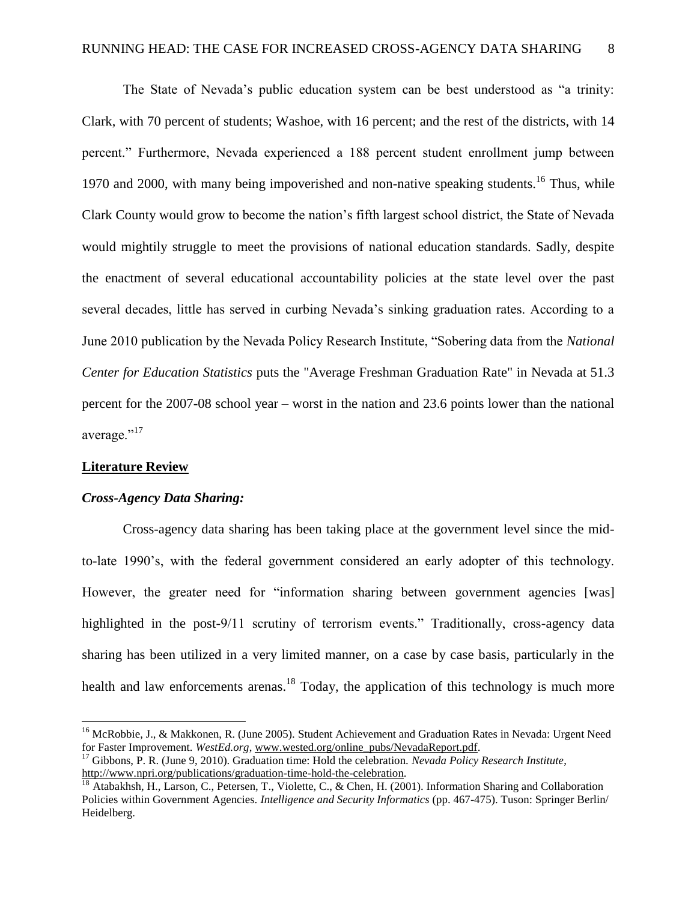The State of Nevada"s public education system can be best understood as "a trinity: Clark, with 70 percent of students; Washoe, with 16 percent; and the rest of the districts, with 14 percent." Furthermore, Nevada experienced a 188 percent student enrollment jump between 1970 and 2000, with many being impoverished and non-native speaking students.<sup>16</sup> Thus, while Clark County would grow to become the nation"s fifth largest school district, the State of Nevada would mightily struggle to meet the provisions of national education standards. Sadly, despite the enactment of several educational accountability policies at the state level over the past several decades, little has served in curbing Nevada"s sinking graduation rates. According to a June 2010 publication by the Nevada Policy Research Institute, "Sobering data from the *[National](http://nces.ed.gov/pubs2010/2010341.pdf)  [Center for Education Statistics](http://nces.ed.gov/pubs2010/2010341.pdf)* puts the "Average Freshman Graduation Rate" in Nevada at 51.3 percent for the 2007-08 school year – worst in the nation and 23.6 points lower than the national average."<sup>17</sup>

#### **Literature Review**

 $\overline{a}$ 

#### *Cross-Agency Data Sharing:*

Cross-agency data sharing has been taking place at the government level since the midto-late 1990"s, with the federal government considered an early adopter of this technology. However, the greater need for "information sharing between government agencies [was] highlighted in the post-9/11 scrutiny of terrorism events." Traditionally, cross-agency data sharing has been utilized in a very limited manner, on a case by case basis, particularly in the health and law enforcements arenas.<sup>18</sup> Today, the application of this technology is much more

<sup>&</sup>lt;sup>16</sup> McRobbie, J., & Makkonen, R. (June 2005). Student Achievement and Graduation Rates in Nevada: Urgent Need for Faster Improvement. *WestEd.org*, [www.wested.org/online\\_pubs/NevadaReport.pdf.](http://www.wested.org/online_pubs/NevadaReport.pdf)

<sup>17</sup> Gibbons, P. R. (June 9, 2010). Graduation time: Hold the celebration. *Nevada Policy Research Institute*, [http://www.npri.org/publications/graduation-time-hold-the-celebration.](http://www.npri.org/publications/graduation-time-hold-the-celebration)

<sup>&</sup>lt;sup>18</sup> Atabakhsh, H., Larson, C., Petersen, T., Violette, C., & Chen, H. (2001). Information Sharing and Collaboration Policies within Government Agencies. *Intelligence and Security Informatics* (pp. 467-475). Tuson: Springer Berlin/ Heidelberg.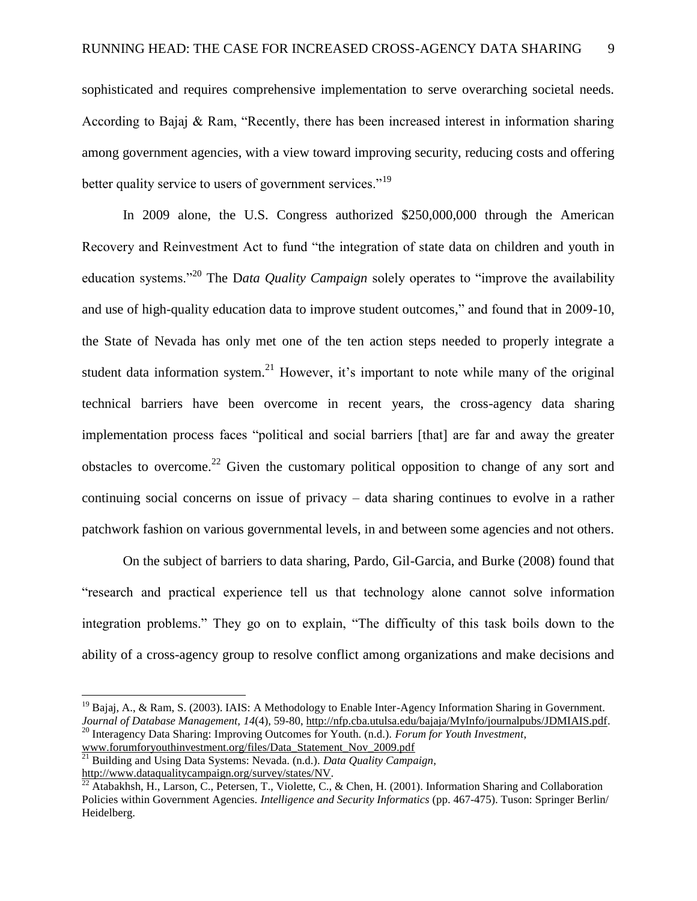sophisticated and requires comprehensive implementation to serve overarching societal needs. According to Bajaj & Ram, "Recently, there has been increased interest in information sharing among government agencies, with a view toward improving security, reducing costs and offering better quality service to users of government services."<sup>19</sup>

In 2009 alone, the U.S. Congress authorized \$250,000,000 through the American Recovery and Reinvestment Act to fund "the integration of state data on children and youth in education systems."<sup>20</sup> The D*ata Quality Campaign* solely operates to "improve the availability and use of high-quality education data to improve student outcomes," and found that in 2009-10, the State of Nevada has only met one of the ten action steps needed to properly integrate a student data information system.<sup>21</sup> However, it's important to note while many of the original technical barriers have been overcome in recent years, the cross-agency data sharing implementation process faces "political and social barriers [that] are far and away the greater obstacles to overcome.<sup>22</sup> Given the customary political opposition to change of any sort and continuing social concerns on issue of privacy – data sharing continues to evolve in a rather patchwork fashion on various governmental levels, in and between some agencies and not others.

On the subject of barriers to data sharing, Pardo, Gil-Garcia, and Burke (2008) found that "research and practical experience tell us that technology alone cannot solve information integration problems." They go on to explain, "The difficulty of this task boils down to the ability of a cross-agency group to resolve conflict among organizations and make decisions and

 $\overline{a}$ 

 $19$  Bajaj, A., & Ram, S. (2003). IAIS: A Methodology to Enable Inter-Agency Information Sharing in Government. *Journal of Database Management, 14*(4), 59-80, [http://nfp.cba.utulsa.edu/bajaja/MyInfo/journalpubs/JDMIAIS.pdf.](http://nfp.cba.utulsa.edu/bajaja/MyInfo/journalpubs/JDMIAIS.pdf) <sup>20</sup> Interagency Data Sharing: Improving Outcomes for Youth. (n.d.). *Forum for Youth Investment*,

[www.forumforyouthinvestment.org/files/Data\\_Statement\\_Nov\\_2009.pdf](http://www.forumforyouthinvestment.org/files/Data_Statement_Nov_2009.pdf)

<sup>21</sup> Building and Using Data Systems: Nevada. (n.d.). *Data Quality Campaign*,

[http://www.dataqualitycampaign.org/survey/states/NV.](http://www.dataqualitycampaign.org/survey/states/NV)

 $^{22}$  Atabakhsh, H., Larson, C., Petersen, T., Violette, C., & Chen, H. (2001). Information Sharing and Collaboration Policies within Government Agencies. *Intelligence and Security Informatics* (pp. 467-475). Tuson: Springer Berlin/ Heidelberg.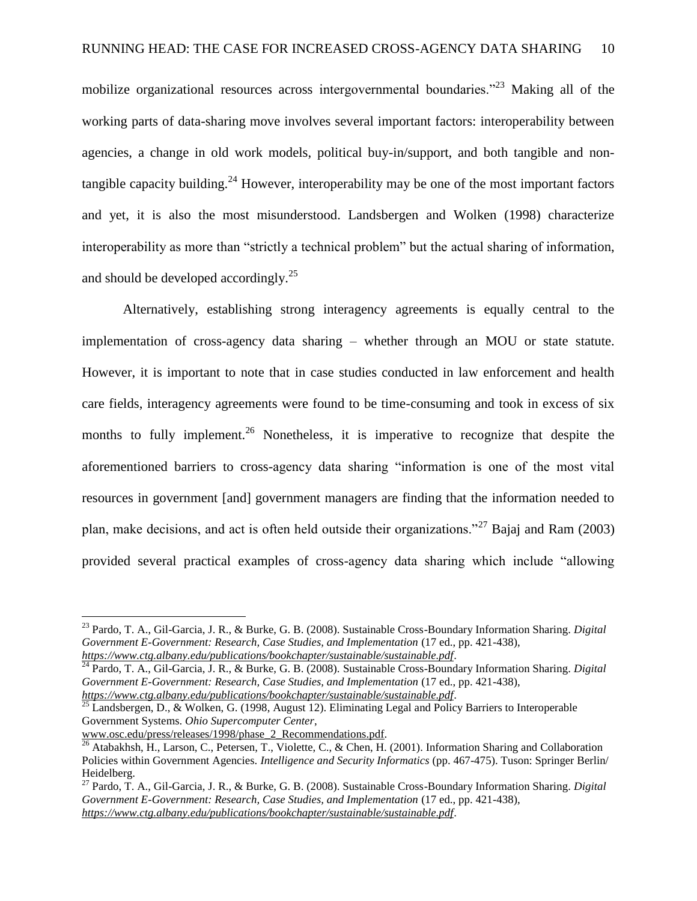mobilize organizational resources across intergovernmental boundaries."<sup>23</sup> Making all of the working parts of data-sharing move involves several important factors: interoperability between agencies, a change in old work models, political buy-in/support, and both tangible and nontangible capacity building.<sup>24</sup> However, interoperability may be one of the most important factors and yet, it is also the most misunderstood. Landsbergen and Wolken (1998) characterize interoperability as more than "strictly a technical problem" but the actual sharing of information, and should be developed accordingly.<sup>25</sup>

Alternatively, establishing strong interagency agreements is equally central to the implementation of cross-agency data sharing – whether through an MOU or state statute. However, it is important to note that in case studies conducted in law enforcement and health care fields, interagency agreements were found to be time-consuming and took in excess of six months to fully implement.<sup>26</sup> Nonetheless, it is imperative to recognize that despite the aforementioned barriers to cross-agency data sharing "information is one of the most vital resources in government [and] government managers are finding that the information needed to plan, make decisions, and act is often held outside their organizations."<sup>27</sup> Bajaj and Ram (2003) provided several practical examples of cross-agency data sharing which include "allowing

*<https://www.ctg.albany.edu/publications/bookchapter/sustainable/sustainable.pdf>*. <sup>25</sup> Landsbergen, D., & Wolken, G. (1998, August 12). Eliminating Legal and Policy Barriers to Interoperable

Government Systems. *Ohio Supercomputer Center*,

 $\overline{a}$ 

[www.osc.edu/press/releases/1998/phase\\_2\\_Recommendations.pdf.](http://www.osc.edu/press/releases/1998/phase_2_Recommendations.pdf)

<sup>23</sup> Pardo, T. A., Gil-Garcia, J. R., & Burke, G. B. (2008). Sustainable Cross-Boundary Information Sharing. *Digital Government E-Government: Research, Case Studies, and Implementation* (17 ed., pp. 421-438), *<https://www.ctg.albany.edu/publications/bookchapter/sustainable/sustainable.pdf>*.

<sup>24</sup> Pardo, T. A., Gil-Garcia, J. R., & Burke, G. B. (2008). Sustainable Cross-Boundary Information Sharing. *Digital Government E-Government: Research, Case Studies, and Implementation* (17 ed., pp. 421-438),

 $^{26}$  Atabakhsh, H., Larson, C., Petersen, T., Violette, C., & Chen, H. (2001). Information Sharing and Collaboration Policies within Government Agencies. *Intelligence and Security Informatics* (pp. 467-475). Tuson: Springer Berlin/ Heidelberg.

<sup>27</sup> Pardo, T. A., Gil-Garcia, J. R., & Burke, G. B. (2008). Sustainable Cross-Boundary Information Sharing. *Digital Government E-Government: Research, Case Studies, and Implementation* (17 ed., pp. 421-438), *<https://www.ctg.albany.edu/publications/bookchapter/sustainable/sustainable.pdf>*.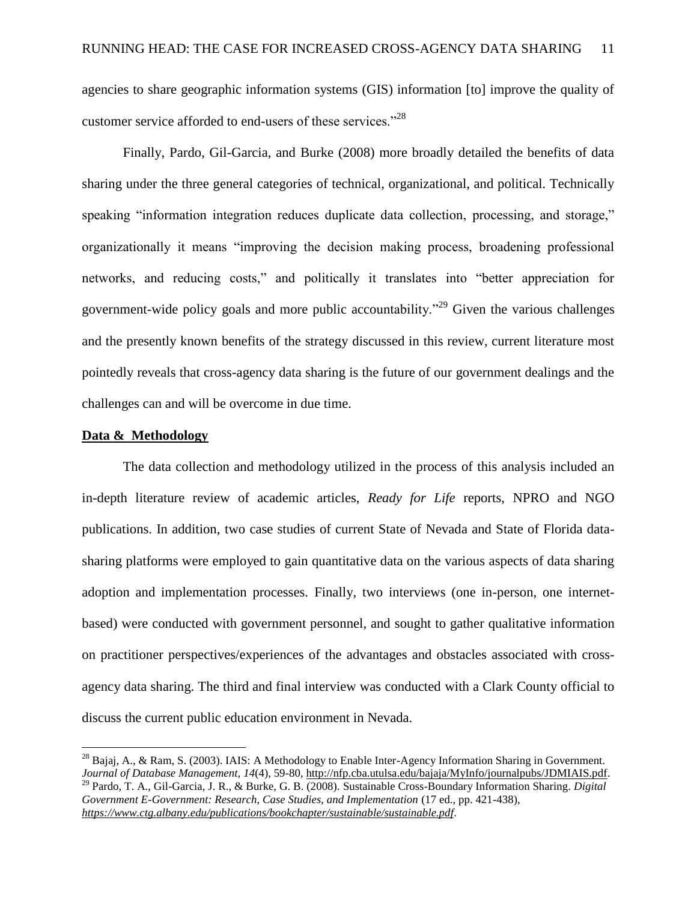agencies to share geographic information systems (GIS) information [to] improve the quality of customer service afforded to end-users of these services."<sup>28</sup>

Finally, Pardo, Gil-Garcia, and Burke (2008) more broadly detailed the benefits of data sharing under the three general categories of technical, organizational, and political. Technically speaking "information integration reduces duplicate data collection, processing, and storage," organizationally it means "improving the decision making process, broadening professional networks, and reducing costs," and politically it translates into "better appreciation for government-wide policy goals and more public accountability.<sup> $29$ </sup> Given the various challenges and the presently known benefits of the strategy discussed in this review, current literature most pointedly reveals that cross-agency data sharing is the future of our government dealings and the challenges can and will be overcome in due time.

#### **Data & Methodology**

 $\overline{a}$ 

The data collection and methodology utilized in the process of this analysis included an in-depth literature review of academic articles, *Ready for Life* reports, NPRO and NGO publications. In addition, two case studies of current State of Nevada and State of Florida datasharing platforms were employed to gain quantitative data on the various aspects of data sharing adoption and implementation processes. Finally, two interviews (one in-person, one internetbased) were conducted with government personnel, and sought to gather qualitative information on practitioner perspectives/experiences of the advantages and obstacles associated with crossagency data sharing. The third and final interview was conducted with a Clark County official to discuss the current public education environment in Nevada.

<sup>&</sup>lt;sup>28</sup> Bajaj, A., & Ram, S. (2003). IAIS: A Methodology to Enable Inter-Agency Information Sharing in Government. *Journal of Database Management, 14*(4), 59-80, [http://nfp.cba.utulsa.edu/bajaja/MyInfo/journalpubs/JDMIAIS.pdf.](http://nfp.cba.utulsa.edu/bajaja/MyInfo/journalpubs/JDMIAIS.pdf) <sup>29</sup> Pardo, T. A., Gil-Garcia, J. R., & Burke, G. B. (2008). Sustainable Cross-Boundary Information Sharing. *Digital Government E-Government: Research, Case Studies, and Implementation* (17 ed., pp. 421-438), *<https://www.ctg.albany.edu/publications/bookchapter/sustainable/sustainable.pdf>*.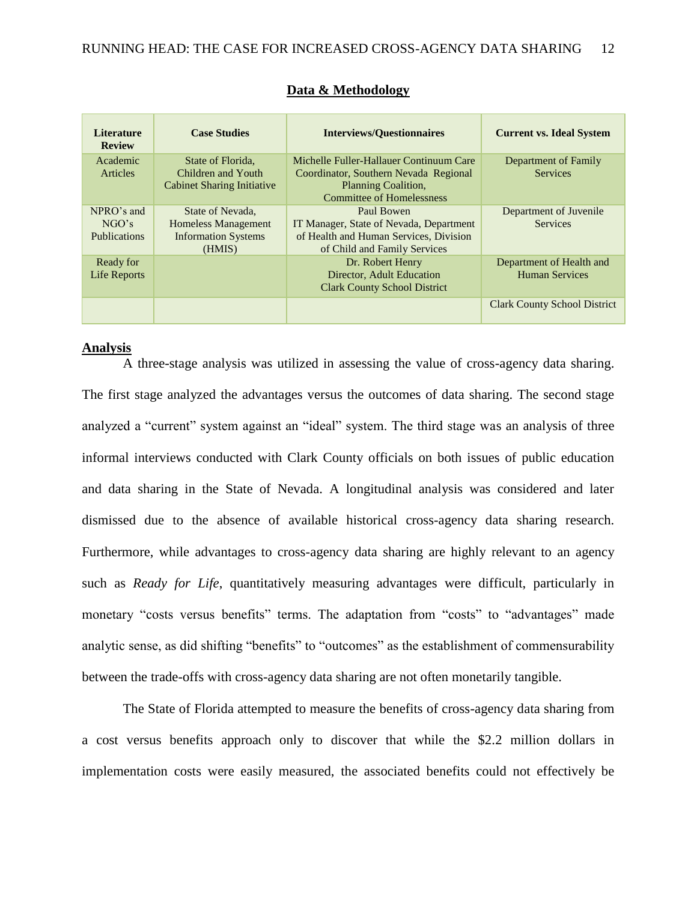| <b>Literature</b><br><b>Review</b>         | <b>Case Studies</b>                                                                    | <b>Interviews/Questionnaires</b>                                                                                                                   | <b>Current vs. Ideal System</b>                   |
|--------------------------------------------|----------------------------------------------------------------------------------------|----------------------------------------------------------------------------------------------------------------------------------------------------|---------------------------------------------------|
| Academic<br><b>Articles</b>                | State of Florida,<br>Children and Youth<br><b>Cabinet Sharing Initiative</b>           | Michelle Fuller-Hallauer Continuum Care<br>Coordinator, Southern Nevada Regional<br><b>Planning Coalition,</b><br><b>Committee of Homelessness</b> | Department of Family<br><b>Services</b>           |
| NPRO's and<br>NGO's<br><b>Publications</b> | State of Nevada,<br><b>Homeless Management</b><br><b>Information Systems</b><br>(HMIS) | Paul Bowen<br>IT Manager, State of Nevada, Department<br>of Health and Human Services, Division<br>of Child and Family Services                    | Department of Juvenile<br><b>Services</b>         |
| Ready for<br>Life Reports                  |                                                                                        | Dr. Robert Henry<br>Director, Adult Education<br><b>Clark County School District</b>                                                               | Department of Health and<br><b>Human Services</b> |
|                                            |                                                                                        |                                                                                                                                                    | <b>Clark County School District</b>               |

#### **Data & Methodology**

#### **Analysis**

A three-stage analysis was utilized in assessing the value of cross-agency data sharing. The first stage analyzed the advantages versus the outcomes of data sharing. The second stage analyzed a "current" system against an "ideal" system. The third stage was an analysis of three informal interviews conducted with Clark County officials on both issues of public education and data sharing in the State of Nevada. A longitudinal analysis was considered and later dismissed due to the absence of available historical cross-agency data sharing research. Furthermore, while advantages to cross-agency data sharing are highly relevant to an agency such as *Ready for Life*, quantitatively measuring advantages were difficult, particularly in monetary "costs versus benefits" terms. The adaptation from "costs" to "advantages" made analytic sense, as did shifting "benefits" to "outcomes" as the establishment of commensurability between the trade-offs with cross-agency data sharing are not often monetarily tangible.

The State of Florida attempted to measure the benefits of cross-agency data sharing from a cost versus benefits approach only to discover that while the \$2.2 million dollars in implementation costs were easily measured, the associated benefits could not effectively be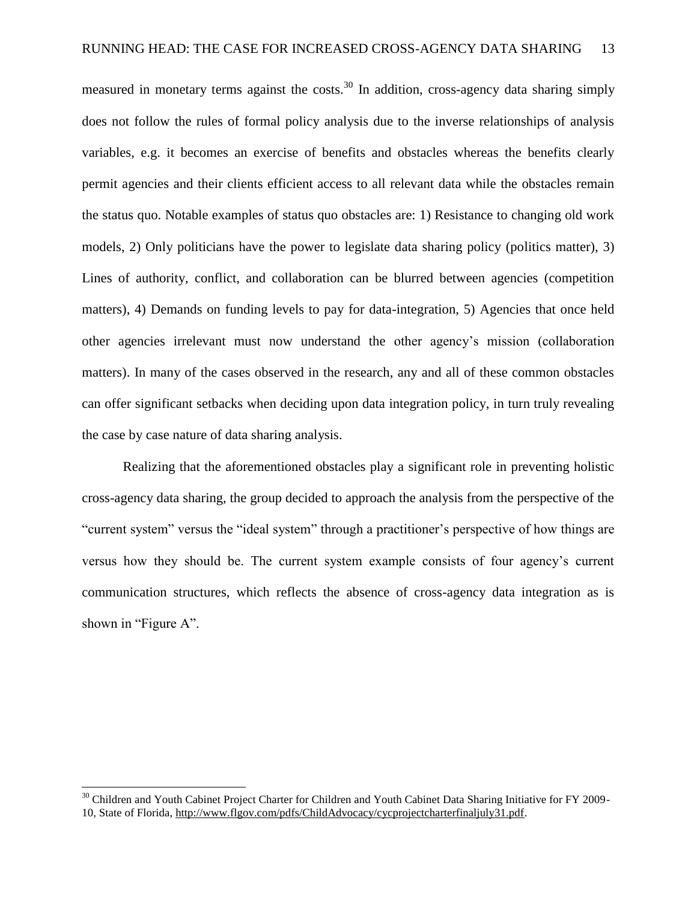measured in monetary terms against the costs.<sup>30</sup> In addition, cross-agency data sharing simply does not follow the rules of formal policy analysis due to the inverse relationships of analysis variables, e.g. it becomes an exercise of benefits and obstacles whereas the benefits clearly permit agencies and their clients efficient access to all relevant data while the obstacles remain the status quo. Notable examples of status quo obstacles are: 1) Resistance to changing old work models, 2) Only politicians have the power to legislate data sharing policy (politics matter), 3) Lines of authority, conflict, and collaboration can be blurred between agencies (competition matters), 4) Demands on funding levels to pay for data-integration, 5) Agencies that once held other agencies irrelevant must now understand the other agency"s mission (collaboration matters). In many of the cases observed in the research, any and all of these common obstacles can offer significant setbacks when deciding upon data integration policy, in turn truly revealing the case by case nature of data sharing analysis.

Realizing that the aforementioned obstacles play a significant role in preventing holistic cross-agency data sharing, the group decided to approach the analysis from the perspective of the "current system" versus the "ideal system" through a practitioner"s perspective of how things are versus how they should be. The current system example consists of four agency"s current communication structures, which reflects the absence of cross-agency data integration as is shown in "Figure A".

 $30$  Children and Youth Cabinet Project Charter for Children and Youth Cabinet Data Sharing Initiative for FY 2009-10, State of Florida, [http://www.flgov.com/pdfs/ChildAdvocacy/cycprojectcharterfinaljuly31.pdf.](http://www.flgov.com/pdfs/ChildAdvocacy/cycprojectcharterfinaljuly31.pdf)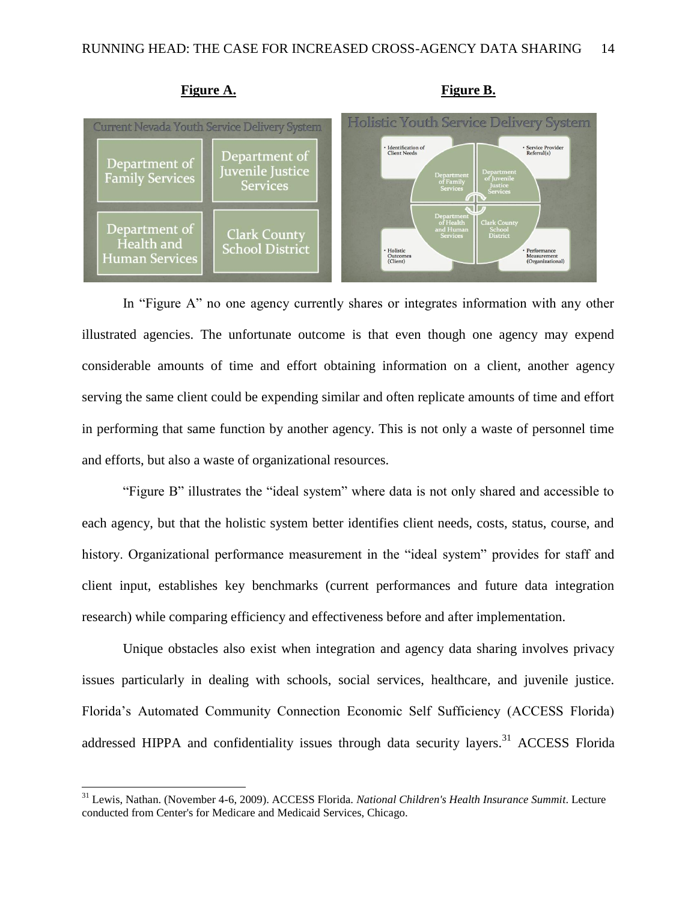

In "Figure A" no one agency currently shares or integrates information with any other illustrated agencies. The unfortunate outcome is that even though one agency may expend considerable amounts of time and effort obtaining information on a client, another agency serving the same client could be expending similar and often replicate amounts of time and effort in performing that same function by another agency. This is not only a waste of personnel time and efforts, but also a waste of organizational resources.

"Figure B" illustrates the "ideal system" where data is not only shared and accessible to each agency, but that the holistic system better identifies client needs, costs, status, course, and history. Organizational performance measurement in the "ideal system" provides for staff and client input, establishes key benchmarks (current performances and future data integration research) while comparing efficiency and effectiveness before and after implementation.

Unique obstacles also exist when integration and agency data sharing involves privacy issues particularly in dealing with schools, social services, healthcare, and juvenile justice. Florida"s Automated Community Connection Economic Self Sufficiency (ACCESS Florida) addressed HIPPA and confidentiality issues through data security layers.<sup>31</sup> ACCESS Florida

<sup>31</sup> Lewis, Nathan. (November 4-6, 2009). ACCESS Florida. *National Children's Health Insurance Summit*. Lecture conducted from Center's for Medicare and Medicaid Services, Chicago.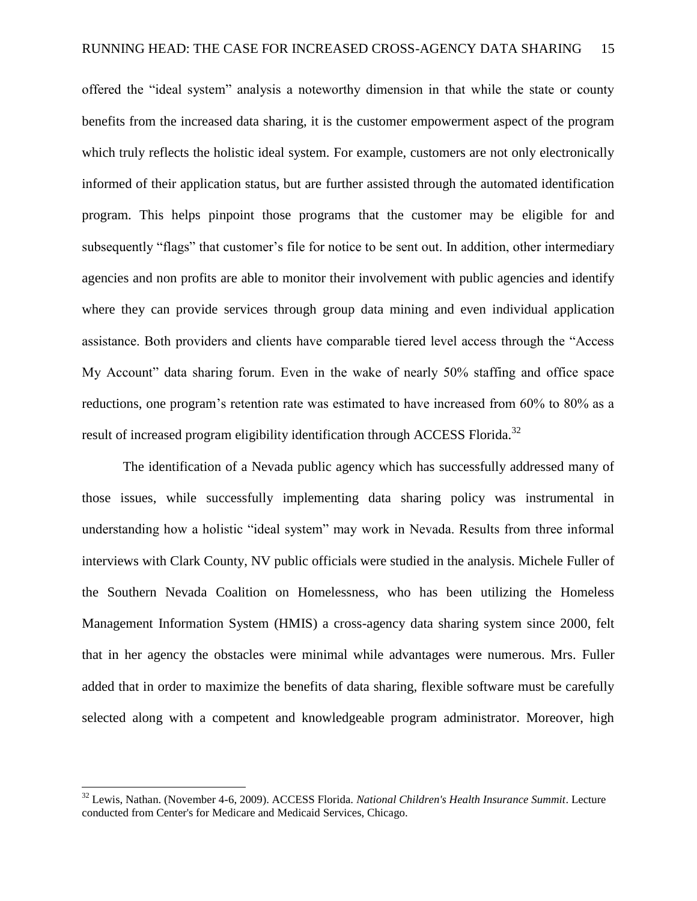offered the "ideal system" analysis a noteworthy dimension in that while the state or county benefits from the increased data sharing, it is the customer empowerment aspect of the program which truly reflects the holistic ideal system. For example, customers are not only electronically informed of their application status, but are further assisted through the automated identification program. This helps pinpoint those programs that the customer may be eligible for and subsequently "flags" that customer's file for notice to be sent out. In addition, other intermediary agencies and non profits are able to monitor their involvement with public agencies and identify where they can provide services through group data mining and even individual application assistance. Both providers and clients have comparable tiered level access through the "Access My Account" data sharing forum. Even in the wake of nearly 50% staffing and office space reductions, one program"s retention rate was estimated to have increased from 60% to 80% as a result of increased program eligibility identification through ACCESS Florida.<sup>32</sup>

The identification of a Nevada public agency which has successfully addressed many of those issues, while successfully implementing data sharing policy was instrumental in understanding how a holistic "ideal system" may work in Nevada. Results from three informal interviews with Clark County, NV public officials were studied in the analysis. Michele Fuller of the Southern Nevada Coalition on Homelessness, who has been utilizing the Homeless Management Information System (HMIS) a cross-agency data sharing system since 2000, felt that in her agency the obstacles were minimal while advantages were numerous. Mrs. Fuller added that in order to maximize the benefits of data sharing, flexible software must be carefully selected along with a competent and knowledgeable program administrator. Moreover, high

<sup>32</sup> Lewis, Nathan. (November 4-6, 2009). ACCESS Florida. *National Children's Health Insurance Summit*. Lecture conducted from Center's for Medicare and Medicaid Services, Chicago.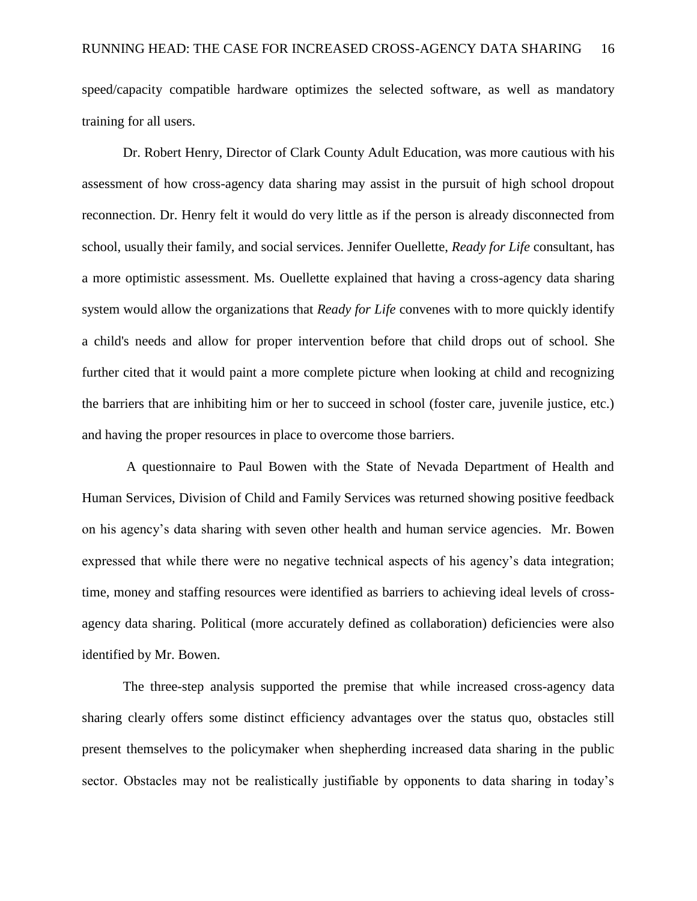speed/capacity compatible hardware optimizes the selected software, as well as mandatory training for all users.

Dr. Robert Henry, Director of Clark County Adult Education, was more cautious with his assessment of how cross-agency data sharing may assist in the pursuit of high school dropout reconnection. Dr. Henry felt it would do very little as if the person is already disconnected from school, usually their family, and social services. Jennifer Ouellette, *Ready for Life* consultant, has a more optimistic assessment. Ms. Ouellette explained that having a cross-agency data sharing system would allow the organizations that *Ready for Life* convenes with to more quickly identify a child's needs and allow for proper intervention before that child drops out of school. She further cited that it would paint a more complete picture when looking at child and recognizing the barriers that are inhibiting him or her to succeed in school (foster care, juvenile justice, etc.) and having the proper resources in place to overcome those barriers.

A questionnaire to Paul Bowen with the State of Nevada Department of Health and Human Services, Division of Child and Family Services was returned showing positive feedback on his agency"s data sharing with seven other health and human service agencies. Mr. Bowen expressed that while there were no negative technical aspects of his agency"s data integration; time, money and staffing resources were identified as barriers to achieving ideal levels of crossagency data sharing. Political (more accurately defined as collaboration) deficiencies were also identified by Mr. Bowen.

The three-step analysis supported the premise that while increased cross-agency data sharing clearly offers some distinct efficiency advantages over the status quo, obstacles still present themselves to the policymaker when shepherding increased data sharing in the public sector. Obstacles may not be realistically justifiable by opponents to data sharing in today's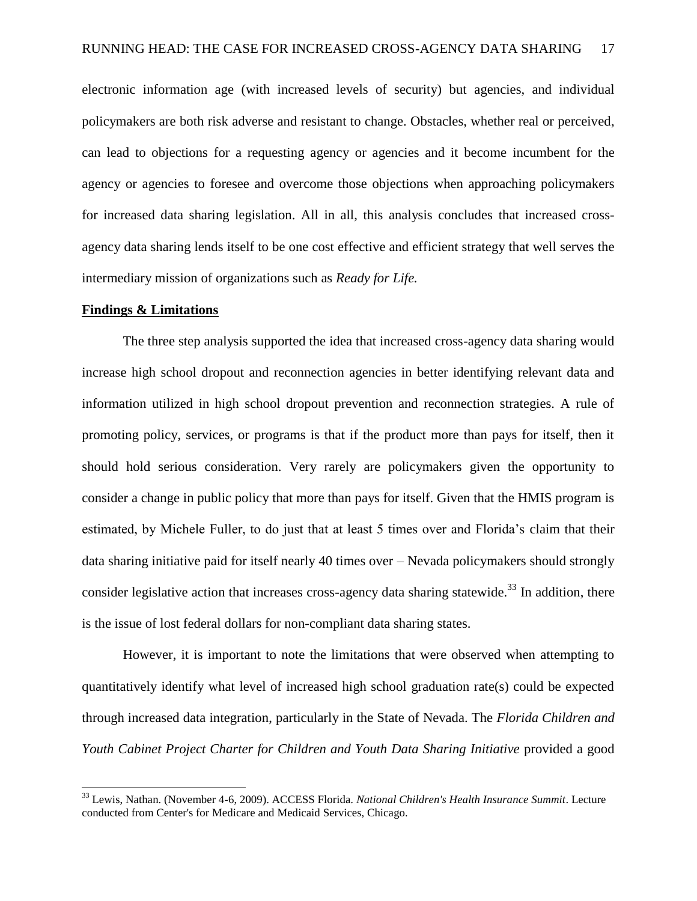electronic information age (with increased levels of security) but agencies, and individual policymakers are both risk adverse and resistant to change. Obstacles, whether real or perceived, can lead to objections for a requesting agency or agencies and it become incumbent for the agency or agencies to foresee and overcome those objections when approaching policymakers for increased data sharing legislation. All in all, this analysis concludes that increased crossagency data sharing lends itself to be one cost effective and efficient strategy that well serves the intermediary mission of organizations such as *Ready for Life.*

#### **Findings & Limitations**

l

The three step analysis supported the idea that increased cross-agency data sharing would increase high school dropout and reconnection agencies in better identifying relevant data and information utilized in high school dropout prevention and reconnection strategies. A rule of promoting policy, services, or programs is that if the product more than pays for itself, then it should hold serious consideration. Very rarely are policymakers given the opportunity to consider a change in public policy that more than pays for itself. Given that the HMIS program is estimated, by Michele Fuller, to do just that at least 5 times over and Florida"s claim that their data sharing initiative paid for itself nearly 40 times over – Nevada policymakers should strongly consider legislative action that increases cross-agency data sharing statewide.<sup>33</sup> In addition, there is the issue of lost federal dollars for non-compliant data sharing states.

However, it is important to note the limitations that were observed when attempting to quantitatively identify what level of increased high school graduation rate(s) could be expected through increased data integration, particularly in the State of Nevada. The *Florida Children and Youth Cabinet Project Charter for Children and Youth Data Sharing Initiative* provided a good

<sup>33</sup> Lewis, Nathan. (November 4-6, 2009). ACCESS Florida. *National Children's Health Insurance Summit*. Lecture conducted from Center's for Medicare and Medicaid Services, Chicago.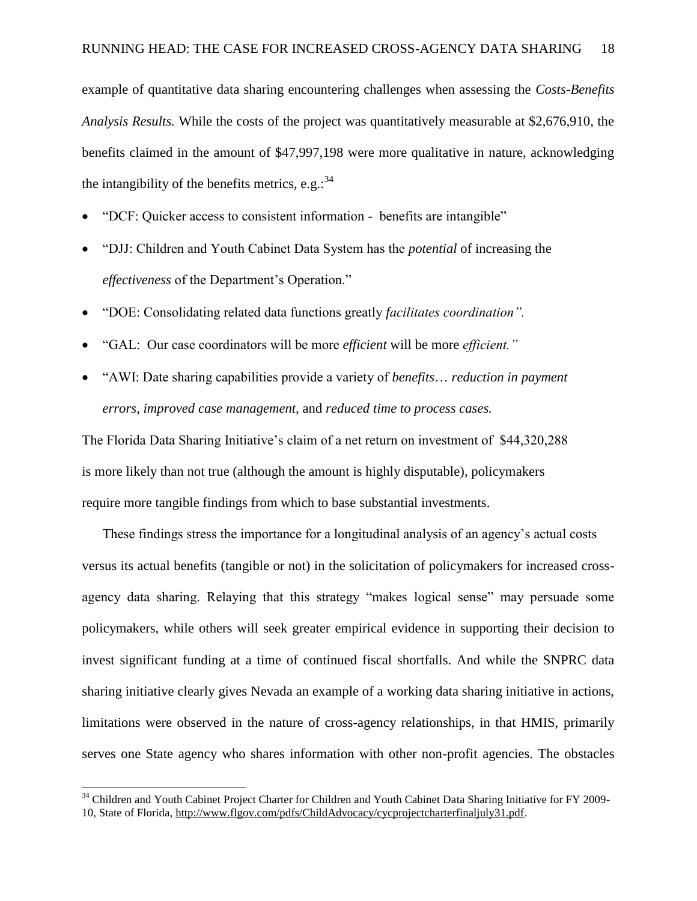example of quantitative data sharing encountering challenges when assessing the *Costs-Benefits Analysis Results.* While the costs of the project was quantitatively measurable at \$2,676,910, the benefits claimed in the amount of \$47,997,198 were more qualitative in nature, acknowledging the intangibility of the benefits metrics, e.g.:  $34$ 

- "DCF: Quicker access to consistent information benefits are intangible"
- "DJJ: Children and Youth Cabinet Data System has the *potential* of increasing the *effectiveness* of the Department's Operation."
- "DOE: Consolidating related data functions greatly *facilitates coordination".*
- "GAL: Our case coordinators will be more *efficient* will be more *efficient."*
- "AWI: Date sharing capabilities provide a variety of *benefits*… *reduction in payment errors, improved case management,* and *reduced time to process cases.*

The Florida Data Sharing Initiative"s claim of a net return on investment of \$44,320,288 is more likely than not true (although the amount is highly disputable), policymakers require more tangible findings from which to base substantial investments.

These findings stress the importance for a longitudinal analysis of an agency"s actual costs versus its actual benefits (tangible or not) in the solicitation of policymakers for increased crossagency data sharing. Relaying that this strategy "makes logical sense" may persuade some policymakers, while others will seek greater empirical evidence in supporting their decision to invest significant funding at a time of continued fiscal shortfalls. And while the SNPRC data sharing initiative clearly gives Nevada an example of a working data sharing initiative in actions, limitations were observed in the nature of cross-agency relationships, in that HMIS, primarily serves one State agency who shares information with other non-profit agencies. The obstacles

 $34$  Children and Youth Cabinet Project Charter for Children and Youth Cabinet Data Sharing Initiative for FY 2009-10, State of Florida, [http://www.flgov.com/pdfs/ChildAdvocacy/cycprojectcharterfinaljuly31.pdf.](http://www.flgov.com/pdfs/ChildAdvocacy/cycprojectcharterfinaljuly31.pdf)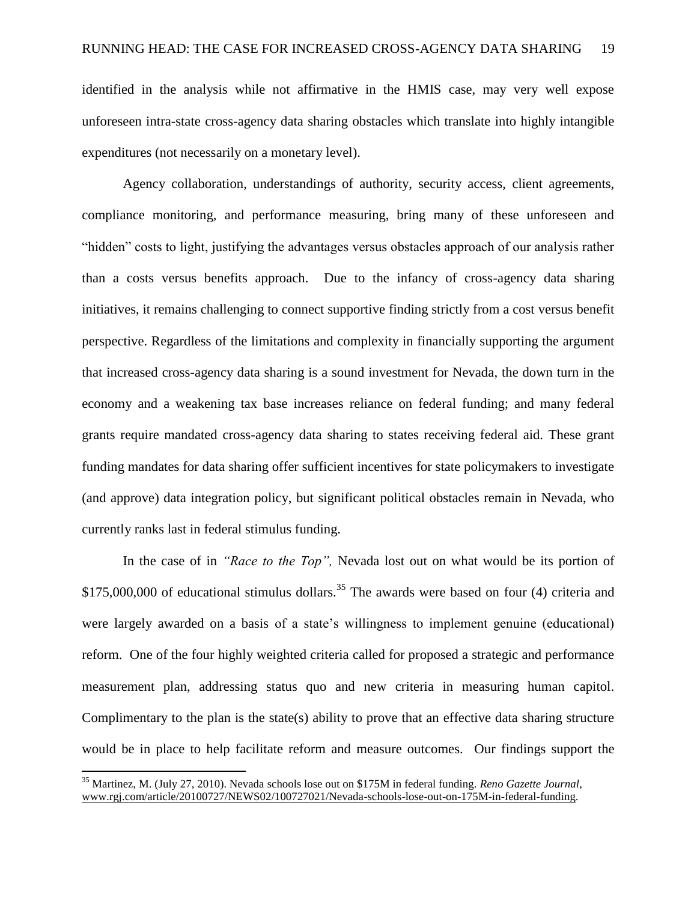identified in the analysis while not affirmative in the HMIS case, may very well expose unforeseen intra-state cross-agency data sharing obstacles which translate into highly intangible expenditures (not necessarily on a monetary level).

Agency collaboration, understandings of authority, security access, client agreements, compliance monitoring, and performance measuring, bring many of these unforeseen and "hidden" costs to light, justifying the advantages versus obstacles approach of our analysis rather than a costs versus benefits approach. Due to the infancy of cross-agency data sharing initiatives, it remains challenging to connect supportive finding strictly from a cost versus benefit perspective. Regardless of the limitations and complexity in financially supporting the argument that increased cross-agency data sharing is a sound investment for Nevada, the down turn in the economy and a weakening tax base increases reliance on federal funding; and many federal grants require mandated cross-agency data sharing to states receiving federal aid. These grant funding mandates for data sharing offer sufficient incentives for state policymakers to investigate (and approve) data integration policy, but significant political obstacles remain in Nevada, who currently ranks last in federal stimulus funding.

In the case of in *"Race to the Top",* Nevada lost out on what would be its portion of \$175,000,000 of educational stimulus dollars.<sup>35</sup> The awards were based on four (4) criteria and were largely awarded on a basis of a state's willingness to implement genuine (educational) reform. One of the four highly weighted criteria called for proposed a strategic and performance measurement plan, addressing status quo and new criteria in measuring human capitol. Complimentary to the plan is the state(s) ability to prove that an effective data sharing structure would be in place to help facilitate reform and measure outcomes.Our findings support the

 $\overline{a}$ 

<sup>35</sup> Martinez, M. (July 27, 2010). Nevada schools lose out on \$175M in federal funding. *Reno Gazette Journal*, [www.rgj.com/article/20100727/NEWS02/100727021/Nevada-schools-lose-out-on-175M-in-federal-funding.](http://www.rgj.com/article/20100727/NEWS02/100727021/Nevada-schools-lose-out-on-175M-in-federal-funding)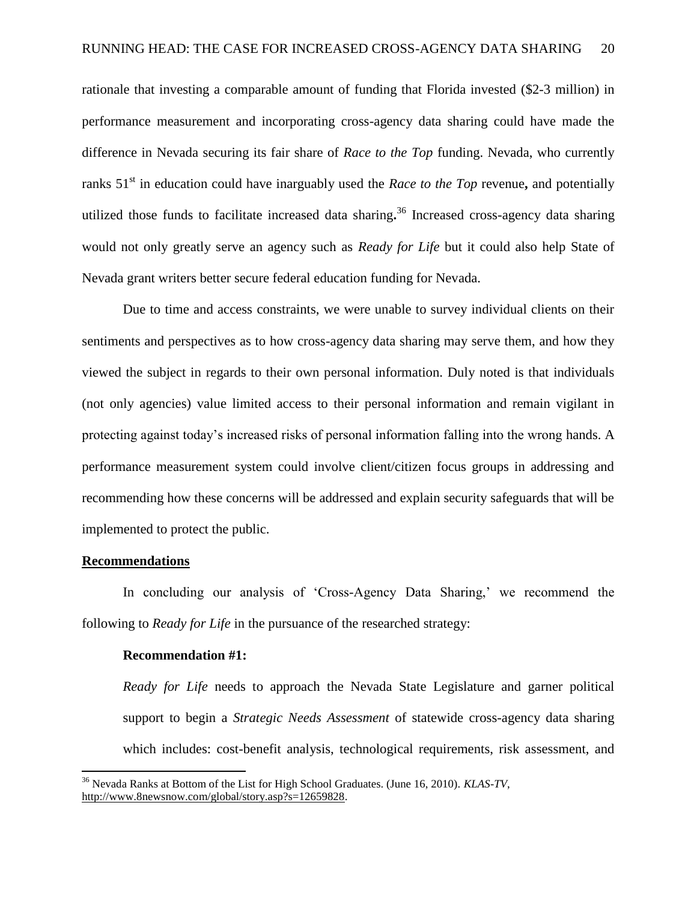rationale that investing a comparable amount of funding that Florida invested (\$2-3 million) in performance measurement and incorporating cross-agency data sharing could have made the difference in Nevada securing its fair share of *Race to the Top* funding. Nevada, who currently ranks 51<sup>st</sup> in education could have inarguably used the *Race to the Top* revenue, and potentially utilized those funds to facilitate increased data sharing**.** <sup>36</sup> Increased cross-agency data sharing would not only greatly serve an agency such as *Ready for Life* but it could also help State of Nevada grant writers better secure federal education funding for Nevada.

Due to time and access constraints, we were unable to survey individual clients on their sentiments and perspectives as to how cross-agency data sharing may serve them, and how they viewed the subject in regards to their own personal information. Duly noted is that individuals (not only agencies) value limited access to their personal information and remain vigilant in protecting against today"s increased risks of personal information falling into the wrong hands. A performance measurement system could involve client/citizen focus groups in addressing and recommending how these concerns will be addressed and explain security safeguards that will be implemented to protect the public.

#### **Recommendations**

 $\overline{a}$ 

In concluding our analysis of 'Cross-Agency Data Sharing,' we recommend the following to *Ready for Life* in the pursuance of the researched strategy:

#### **Recommendation #1:**

*Ready for Life* needs to approach the Nevada State Legislature and garner political support to begin a *Strategic Needs Assessment* of statewide cross-agency data sharing which includes: cost-benefit analysis, technological requirements, risk assessment, and

<sup>36</sup> Nevada Ranks at Bottom of the List for High School Graduates. (June 16, 2010). *KLAS-TV*, [http://www.8newsnow.com/global/story.asp?s=12659828.](http://www.8newsnow.com/global/story.asp?s=12659828)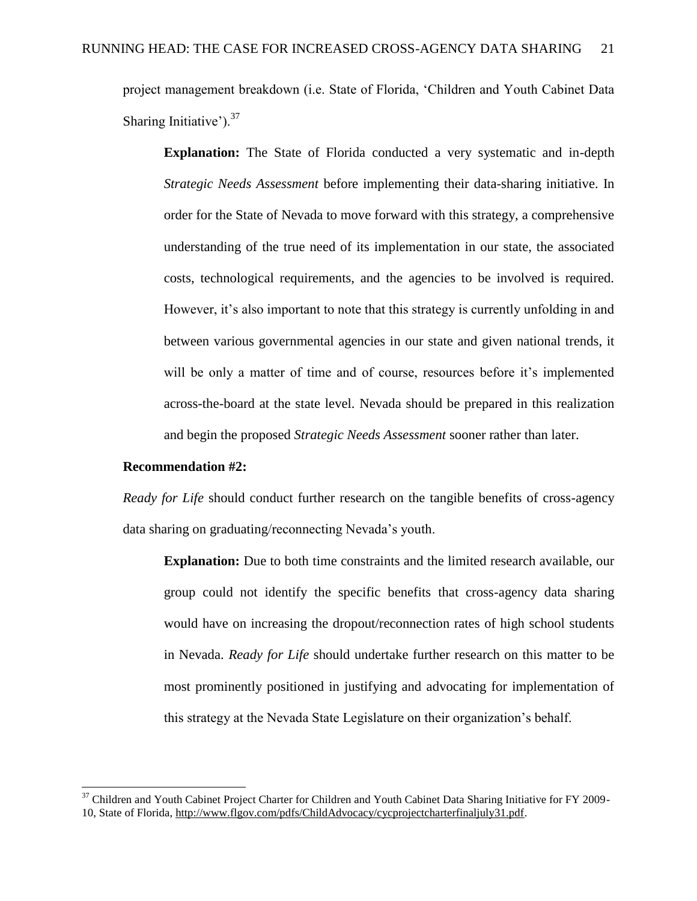project management breakdown (i.e. State of Florida, "Children and Youth Cabinet Data Sharing Initiative'). $37$ 

**Explanation:** The State of Florida conducted a very systematic and in-depth *Strategic Needs Assessment* before implementing their data-sharing initiative. In order for the State of Nevada to move forward with this strategy, a comprehensive understanding of the true need of its implementation in our state, the associated costs, technological requirements, and the agencies to be involved is required. However, it's also important to note that this strategy is currently unfolding in and between various governmental agencies in our state and given national trends, it will be only a matter of time and of course, resources before it's implemented across-the-board at the state level. Nevada should be prepared in this realization and begin the proposed *Strategic Needs Assessment* sooner rather than later.

#### **Recommendation #2:**

l

*Ready for Life* should conduct further research on the tangible benefits of cross-agency data sharing on graduating/reconnecting Nevada"s youth.

**Explanation:** Due to both time constraints and the limited research available, our group could not identify the specific benefits that cross-agency data sharing would have on increasing the dropout/reconnection rates of high school students in Nevada. *Ready for Life* should undertake further research on this matter to be most prominently positioned in justifying and advocating for implementation of this strategy at the Nevada State Legislature on their organization's behalf.

<sup>&</sup>lt;sup>37</sup> Children and Youth Cabinet Project Charter for Children and Youth Cabinet Data Sharing Initiative for FY 2009-10, State of Florida, [http://www.flgov.com/pdfs/ChildAdvocacy/cycprojectcharterfinaljuly31.pdf.](http://www.flgov.com/pdfs/ChildAdvocacy/cycprojectcharterfinaljuly31.pdf)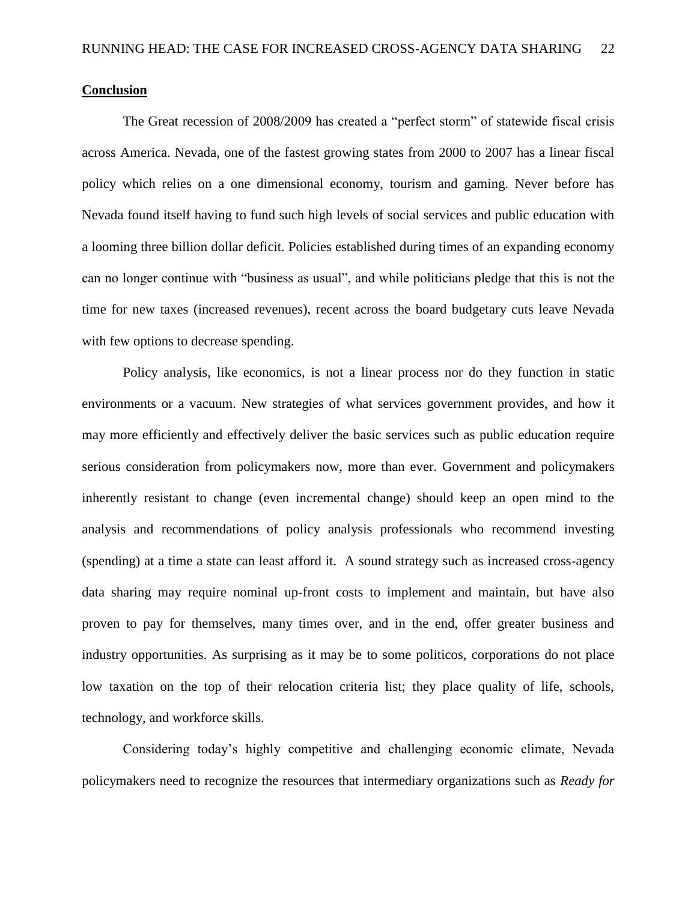#### **Conclusion**

The Great recession of 2008/2009 has created a "perfect storm" of statewide fiscal crisis across America. Nevada, one of the fastest growing states from 2000 to 2007 has a linear fiscal policy which relies on a one dimensional economy, tourism and gaming. Never before has Nevada found itself having to fund such high levels of social services and public education with a looming three billion dollar deficit. Policies established during times of an expanding economy can no longer continue with "business as usual", and while politicians pledge that this is not the time for new taxes (increased revenues), recent across the board budgetary cuts leave Nevada with few options to decrease spending.

Policy analysis, like economics, is not a linear process nor do they function in static environments or a vacuum. New strategies of what services government provides, and how it may more efficiently and effectively deliver the basic services such as public education require serious consideration from policymakers now, more than ever. Government and policymakers inherently resistant to change (even incremental change) should keep an open mind to the analysis and recommendations of policy analysis professionals who recommend investing (spending) at a time a state can least afford it. A sound strategy such as increased cross-agency data sharing may require nominal up-front costs to implement and maintain, but have also proven to pay for themselves, many times over, and in the end, offer greater business and industry opportunities. As surprising as it may be to some politicos, corporations do not place low taxation on the top of their relocation criteria list; they place quality of life, schools, technology, and workforce skills.

Considering today"s highly competitive and challenging economic climate, Nevada policymakers need to recognize the resources that intermediary organizations such as *Ready for*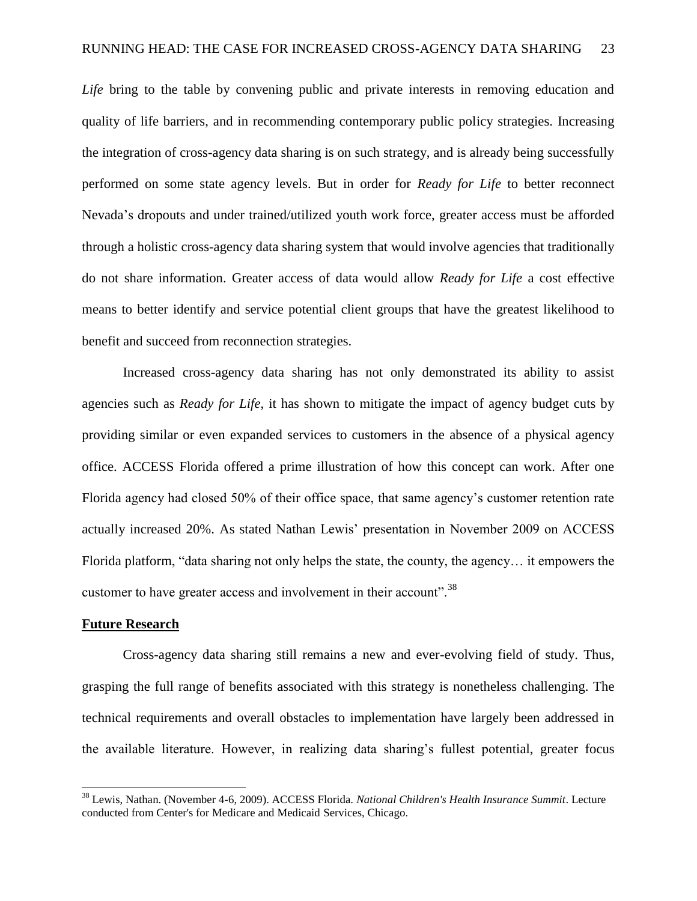*Life* bring to the table by convening public and private interests in removing education and quality of life barriers, and in recommending contemporary public policy strategies. Increasing the integration of cross-agency data sharing is on such strategy, and is already being successfully performed on some state agency levels. But in order for *Ready for Life* to better reconnect Nevada"s dropouts and under trained/utilized youth work force, greater access must be afforded through a holistic cross-agency data sharing system that would involve agencies that traditionally do not share information. Greater access of data would allow *Ready for Life* a cost effective means to better identify and service potential client groups that have the greatest likelihood to benefit and succeed from reconnection strategies.

Increased cross-agency data sharing has not only demonstrated its ability to assist agencies such as *Ready for Life*, it has shown to mitigate the impact of agency budget cuts by providing similar or even expanded services to customers in the absence of a physical agency office. ACCESS Florida offered a prime illustration of how this concept can work. After one Florida agency had closed 50% of their office space, that same agency"s customer retention rate actually increased 20%. As stated Nathan Lewis" presentation in November 2009 on ACCESS Florida platform, "data sharing not only helps the state, the county, the agency… it empowers the customer to have greater access and involvement in their account".<sup>38</sup>

#### **Future Research**

l

Cross-agency data sharing still remains a new and ever-evolving field of study. Thus, grasping the full range of benefits associated with this strategy is nonetheless challenging. The technical requirements and overall obstacles to implementation have largely been addressed in the available literature. However, in realizing data sharing"s fullest potential, greater focus

<sup>38</sup> Lewis, Nathan. (November 4-6, 2009). ACCESS Florida. *National Children's Health Insurance Summit*. Lecture conducted from Center's for Medicare and Medicaid Services, Chicago.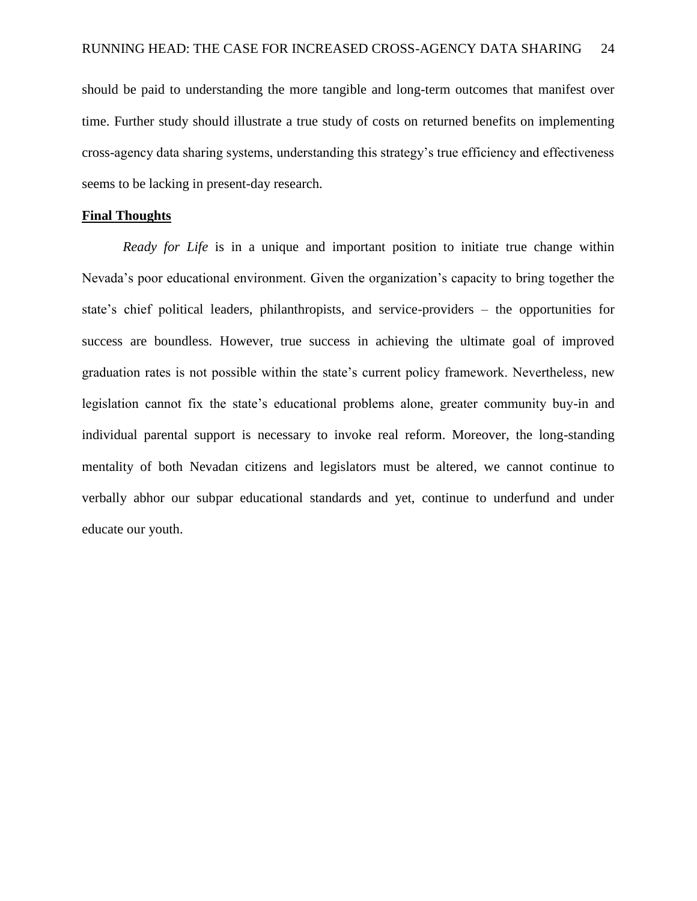should be paid to understanding the more tangible and long-term outcomes that manifest over time. Further study should illustrate a true study of costs on returned benefits on implementing cross-agency data sharing systems, understanding this strategy"s true efficiency and effectiveness seems to be lacking in present-day research.

#### **Final Thoughts**

*Ready for Life* is in a unique and important position to initiate true change within Nevada"s poor educational environment. Given the organization"s capacity to bring together the state's chief political leaders, philanthropists, and service-providers – the opportunities for success are boundless. However, true success in achieving the ultimate goal of improved graduation rates is not possible within the state"s current policy framework. Nevertheless, new legislation cannot fix the state's educational problems alone, greater community buy-in and individual parental support is necessary to invoke real reform. Moreover, the long-standing mentality of both Nevadan citizens and legislators must be altered, we cannot continue to verbally abhor our subpar educational standards and yet, continue to underfund and under educate our youth.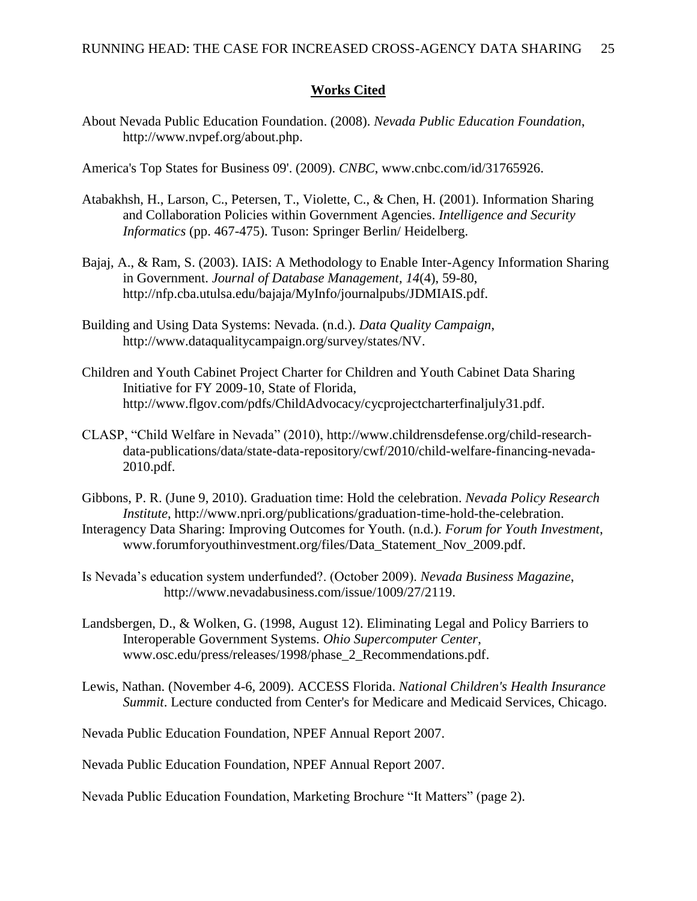#### **Works Cited**

About Nevada Public Education Foundation. (2008). *Nevada Public Education Foundation*, [http://www.nvpef.org/about.php.](http://www.nvpef.org/about.php)

America's Top States for Business 09'. (2009). *CNBC*, [www.cnbc.com/id/31765926.](http://www.cnbc.com/id/31765926)

- Atabakhsh, H., Larson, C., Petersen, T., Violette, C., & Chen, H. (2001). Information Sharing and Collaboration Policies within Government Agencies. *Intelligence and Security Informatics* (pp. 467-475). Tuson: Springer Berlin/ Heidelberg.
- Bajaj, A., & Ram, S. (2003). IAIS: A Methodology to Enable Inter-Agency Information Sharing in Government. *Journal of Database Management, 14*(4), 59-80, [http://nfp.cba.utulsa.edu/bajaja/MyInfo/journalpubs/JDMIAIS.pdf.](http://nfp.cba.utulsa.edu/bajaja/MyInfo/journalpubs/JDMIAIS.pdf)
- Building and Using Data Systems: Nevada. (n.d.). *Data Quality Campaign*, [http://www.dataqualitycampaign.org/survey/states/NV.](http://www.dataqualitycampaign.org/survey/states/NV)
- Children and Youth Cabinet Project Charter for Children and Youth Cabinet Data Sharing Initiative for FY 2009-10, State of Florida, [http://www.flgov.com/pdfs/ChildAdvocacy/cycprojectcharterfinaljuly31.pdf.](http://www.flgov.com/pdfs/ChildAdvocacy/cycprojectcharterfinaljuly31.pdf)
- CLASP, "Child Welfare in Nevada" (2010), [http://www.childrensdefense.org/child-research](http://www.childrensdefense.org/child-research-data-publications/data/state-data-repository/cwf/2010/child-welfare-financing-nevada-2010.pdf)[data-publications/data/state-data-repository/cwf/2010/child-welfare-financing-nevada-](http://www.childrensdefense.org/child-research-data-publications/data/state-data-repository/cwf/2010/child-welfare-financing-nevada-2010.pdf)[2010.pdf.](http://www.childrensdefense.org/child-research-data-publications/data/state-data-repository/cwf/2010/child-welfare-financing-nevada-2010.pdf)
- Gibbons, P. R. (June 9, 2010). Graduation time: Hold the celebration. *Nevada Policy Research Institute*, [http://www.npri.org/publications/graduation-time-hold-the-celebration.](http://www.npri.org/publications/graduation-time-hold-the-celebration) Interagency Data Sharing: Improving Outcomes for Youth. (n.d.). *Forum for Youth Investment*,

[www.forumforyouthinvestment.org/files/Data\\_Statement\\_Nov\\_2009.pdf.](http://www.forumforyouthinvestment.org/files/Data_Statement_Nov_2009.pdf)

Is Nevada"s education system underfunded?. (October 2009). *Nevada Business Magazine*, [http://www.nevadabusiness.com/issue/1009/27/2119.](http://www.nevadabusiness.com/issue/1009/27/2119)

- Landsbergen, D., & Wolken, G. (1998, August 12). Eliminating Legal and Policy Barriers to Interoperable Government Systems. *Ohio Supercomputer Center*, [www.osc.edu/press/releases/1998/phase\\_2\\_Recommendations.pdf.](http://www.osc.edu/press/releases/1998/phase_2_Recommendations.pdf)
- Lewis, Nathan. (November 4-6, 2009). ACCESS Florida. *National Children's Health Insurance Summit*. Lecture conducted from Center's for Medicare and Medicaid Services, Chicago.

Nevada Public Education Foundation, NPEF Annual Report 2007.

Nevada Public Education Foundation, NPEF Annual Report 2007.

Nevada Public Education Foundation, Marketing Brochure "It Matters" (page 2).